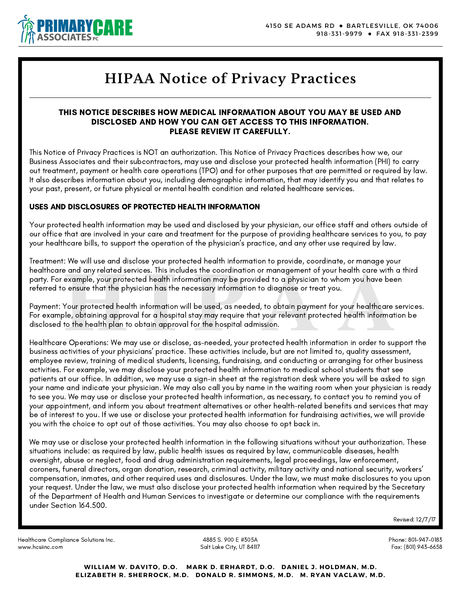

# **HIPAA Notice of Privacy Practices**

### THIS NOTICE DESCRIBES HOW MEDICAL INFORMATION ABOUT YOU MAY BE USED AND DISCLOSED AND HOW YOU CAN GET ACCESS TO THIS INFORMATION. PLEASE REVIEW IT CAREFULLY.

This Notice of Privacy Practices is NOT an authorization. This Notice of Privacy Practices describes how we, our Business Associates and their subcontractors, may use and disclose your protected health information (PHI) to carry out treatment, payment or health care operations (TPO) and for other purposes that are permitted or required by law. It also describes information about you, including demographic information, that may identify you and that relates to your past, present, or future physical or mental health condition and related healthcare services.

## USES AND DISCLOSURES OF PROTECTED HEALTH INFORMATION

Your protected health information may be used and disclosed by your physician, our office staff and others outside of our office that are involved in your care and treatment for the purpose of providing healthcare services to you, to pay your healthcare bills, to support the operation of the physician's practice, and any other use required by law.

Treatment: We will use and disclose your protected health information to provide, coordinate, or manage your healthcare and any related services. This includes the coordination or management of your health care with a third party. For example, your protected health information may be provided to a physician to whom you have been referred to ensure that the physician has the necessary information to diagnose or treat you.

**Example, your protected health information** or management of your health care with a third example, your protected health information may be provided to a physician to whom you have been benever that the physician has the Payment: Your protected health information will be used, as needed, to obtain payment for your healthcare services. For example, obtaining approval for a hospital stay may require that your relevant protected health information be disclosed to the health plan to obtain approval for the hospital admission.

Healthcare Operations: We may use or disclose, as-needed, your protected health information in order to support the business activities of your physicians' practice. These activities include, but are not limited to, quality assessment, employee review, training of medical students, licensing, fundraising, and conducting or arranging for other business activities. For example, we may disclose your protected health information to medical school students that see patients at our office. In addition, we may use a sign-in sheet at the registration desk where you will be asked to sign your name and indicate your physician. We may also call you by name in the waiting room when your physician is ready to see you. We may use or disclose your protected health information, as necessary, to contact you to remind you of your appointment, and inform you about treatment alternatives or other health-related benefits and services that may be of interest to you. If we use or disclose your protected health information for fundraising activities, we will provide you with the choice to opt out of those activities. You may also choose to opt back in.

We may use or disclose your protected health information in the following situations without your authorization. These situations include: as required by law, public health issues as required by law, communicable diseases, health oversight, abuse or neglect, food and drug administration requirements, legal proceedings, law enforcement, coroners, funeral directors, organ donation, research, criminal activity, military activity and national security, workers' compensation, inmates, and other required uses and disclosures. Under the law, we must make disclosures to you upon your request. Under the law, we must also disclose your protected health information when required by the Secretary of the Department of Health and Human Services to investigate or determine our compliance with the requirements under Section 164.500.

Revised: 12/7/17

Healthcare Compliance Solutions Inc. www.hcsiinc.com

4885 S. 900 E #305A Salt Lake City, UT 84117 Phone: 801-947-0183 Fax: (801) 943-6658

**WILLIAM W. DAVITO, D.O. MARK D. ERHARDT, D.O. DANIEL J. HOLDMAN, M.D. ELIZABETH R. SHERROCK, M.D. DONALD R. SIMMONS, M.D. M. RYAN VACLAW, M.D.**